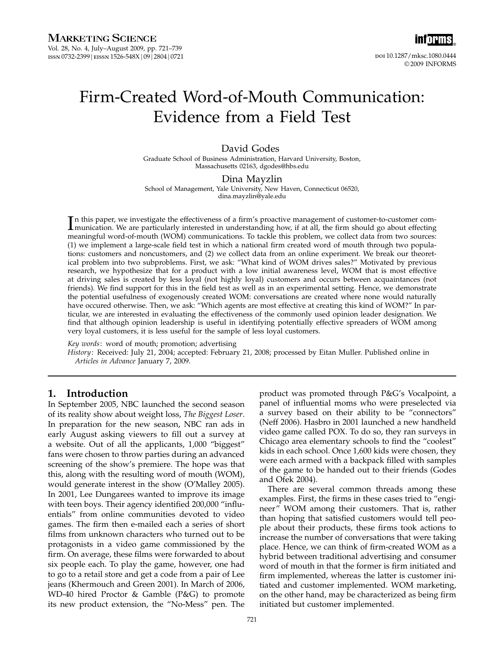# Firm-Created Word-of-Mouth Communication: Evidence from a Field Test

# David Godes

Graduate School of Business Administration, Harvard University, Boston, Massachusetts 02163, dgodes@hbs.edu

## Dina Mayzlin

School of Management, Yale University, New Haven, Connecticut 06520, dina.mayzlin@yale.edu

In this paper, we investigate the effectiveness of a firm's proactive management of customer-to-customer com-<br>
munication. We are particularly interested in understanding how, if at all, the firm should go about effecting<br> munication. We are particularly interested in understanding how, if at all, the firm should go about effecting meaningful word-of-mouth (WOM) communications. To tackle this problem, we collect data from two sources: (1) we implement a large-scale field test in which a national firm created word of mouth through two populations: customers and noncustomers, and (2) we collect data from an online experiment. We break our theoretical problem into two subproblems. First, we ask: "What kind of WOM drives sales?" Motivated by previous research, we hypothesize that for a product with a low initial awareness level, WOM that is most effective at driving sales is created by less loyal (not highly loyal) customers and occurs between acquaintances (not friends). We find support for this in the field test as well as in an experimental setting. Hence, we demonstrate the potential usefulness of exogenously created WOM: conversations are created where none would naturally have occured otherwise. Then, we ask: "Which agents are most effective at creating this kind of WOM?" In particular, we are interested in evaluating the effectiveness of the commonly used opinion leader designation. We find that although opinion leadership is useful in identifying potentially effective spreaders of WOM among very loyal customers, it is less useful for the sample of less loyal customers.

Key words: word of mouth; promotion; advertising

History: Received: July 21, 2004; accepted: February 21, 2008; processed by Eitan Muller. Published online in Articles in Advance January 7, 2009.

# 1. Introduction

In September 2005, NBC launched the second season of its reality show about weight loss, The Biggest Loser. In preparation for the new season, NBC ran ads in early August asking viewers to fill out a survey at a website. Out of all the applicants, 1,000 "biggest" fans were chosen to throw parties during an advanced screening of the show's premiere. The hope was that this, along with the resulting word of mouth (WOM), would generate interest in the show (O'Malley 2005). In 2001, Lee Dungarees wanted to improve its image with teen boys. Their agency identified 200,000 "influentials" from online communities devoted to video games. The firm then e-mailed each a series of short films from unknown characters who turned out to be protagonists in a video game commissioned by the firm. On average, these films were forwarded to about six people each. To play the game, however, one had to go to a retail store and get a code from a pair of Lee jeans (Khermouch and Green 2001). In March of 2006, WD-40 hired Proctor & Gamble (P&G) to promote its new product extension, the "No-Mess" pen. The

product was promoted through P&G's Vocalpoint, a panel of influential moms who were preselected via a survey based on their ability to be "connectors" (Neff 2006). Hasbro in 2001 launched a new handheld video game called POX. To do so, they ran surveys in Chicago area elementary schools to find the "coolest" kids in each school. Once 1,600 kids were chosen, they were each armed with a backpack filled with samples of the game to be handed out to their friends (Godes and Ofek 2004).

There are several common threads among these examples. First, the firms in these cases tried to "engineer" WOM among their customers. That is, rather than hoping that satisfied customers would tell people about their products, these firms took actions to increase the number of conversations that were taking place. Hence, we can think of firm-created WOM as a hybrid between traditional advertising and consumer word of mouth in that the former is firm initiated and firm implemented, whereas the latter is customer initiated and customer implemented. WOM marketing, on the other hand, may be characterized as being firm initiated but customer implemented.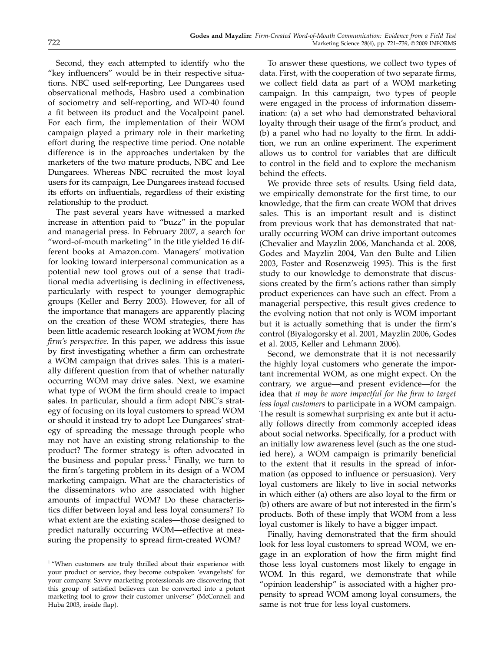Second, they each attempted to identify who the "key influencers" would be in their respective situations. NBC used self-reporting, Lee Dungarees used observational methods, Hasbro used a combination of sociometry and self-reporting, and WD-40 found a fit between its product and the Vocalpoint panel. For each firm, the implementation of their WOM campaign played a primary role in their marketing effort during the respective time period. One notable difference is in the approaches undertaken by the marketers of the two mature products, NBC and Lee Dungarees. Whereas NBC recruited the most loyal users for its campaign, Lee Dungarees instead focused its efforts on influentials, regardless of their existing relationship to the product.

The past several years have witnessed a marked increase in attention paid to "buzz" in the popular and managerial press. In February 2007, a search for "word-of-mouth marketing" in the title yielded 16 different books at Amazon.com. Managers' motivation for looking toward interpersonal communication as a potential new tool grows out of a sense that traditional media advertising is declining in effectiveness, particularly with respect to younger demographic groups (Keller and Berry 2003). However, for all of the importance that managers are apparently placing on the creation of these WOM strategies, there has been little academic research looking at WOM from the firm's perspective. In this paper, we address this issue by first investigating whether a firm can orchestrate a WOM campaign that drives sales. This is a materially different question from that of whether naturally occurring WOM may drive sales. Next, we examine what type of WOM the firm should create to impact sales. In particular, should a firm adopt NBC's strategy of focusing on its loyal customers to spread WOM or should it instead try to adopt Lee Dungarees' strategy of spreading the message through people who may not have an existing strong relationship to the product? The former strategy is often advocated in the business and popular  $press.<sup>1</sup>$  Finally, we turn to the firm's targeting problem in its design of a WOM marketing campaign. What are the characteristics of the disseminators who are associated with higher amounts of impactful WOM? Do these characteristics differ between loyal and less loyal consumers? To what extent are the existing scales—those designed to predict naturally occurring WOM—effective at measuring the propensity to spread firm-created WOM?

To answer these questions, we collect two types of data. First, with the cooperation of two separate firms, we collect field data as part of a WOM marketing campaign. In this campaign, two types of people were engaged in the process of information dissemination: (a) a set who had demonstrated behavioral loyalty through their usage of the firm's product, and (b) a panel who had no loyalty to the firm. In addition, we run an online experiment. The experiment allows us to control for variables that are difficult to control in the field and to explore the mechanism behind the effects.

We provide three sets of results. Using field data, we empirically demonstrate for the first time, to our knowledge, that the firm can create WOM that drives sales. This is an important result and is distinct from previous work that has demonstrated that naturally occurring WOM can drive important outcomes (Chevalier and Mayzlin 2006, Manchanda et al. 2008, Godes and Mayzlin 2004, Van den Bulte and Lilien 2003, Foster and Rosenzweig 1995). This is the first study to our knowledge to demonstrate that discussions created by the firm's actions rather than simply product experiences can have such an effect. From a managerial perspective, this result gives credence to the evolving notion that not only is WOM important but it is actually something that is under the firm's control (Biyalogorsky et al. 2001, Mayzlin 2006, Godes et al. 2005, Keller and Lehmann 2006).

Second, we demonstrate that it is not necessarily the highly loyal customers who generate the important incremental WOM, as one might expect. On the contrary, we argue—and present evidence—for the idea that it may be more impactful for the firm to target less loyal customers to participate in a WOM campaign. The result is somewhat surprising ex ante but it actually follows directly from commonly accepted ideas about social networks. Specifically, for a product with an initially low awareness level (such as the one studied here), a WOM campaign is primarily beneficial to the extent that it results in the spread of information (as opposed to influence or persuasion). Very loyal customers are likely to live in social networks in which either (a) others are also loyal to the firm or (b) others are aware of but not interested in the firm's products. Both of these imply that WOM from a less loyal customer is likely to have a bigger impact.

Finally, having demonstrated that the firm should look for less loyal customers to spread WOM, we engage in an exploration of how the firm might find those less loyal customers most likely to engage in WOM. In this regard, we demonstrate that while "opinion leadership" is associated with a higher propensity to spread WOM among loyal consumers, the same is not true for less loyal customers.

<sup>&</sup>lt;sup>1</sup> "When customers are truly thrilled about their experience with your product or service, they become outspoken 'evangelists' for your company. Savvy marketing professionals are discovering that this group of satisfied believers can be converted into a potent marketing tool to grow their customer universe" (McConnell and Huba 2003, inside flap).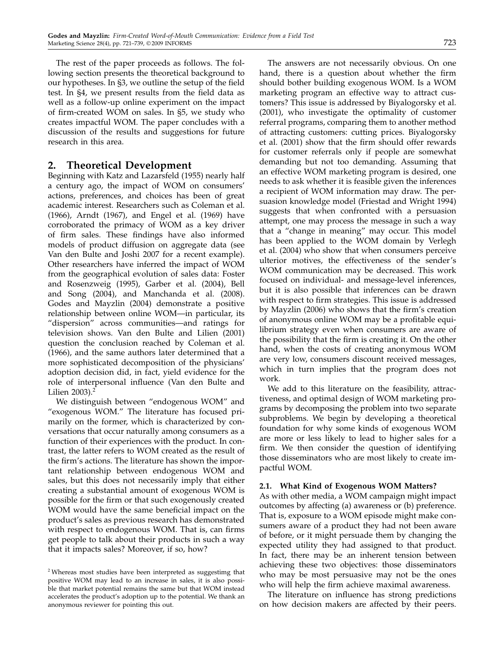The rest of the paper proceeds as follows. The following section presents the theoretical background to our hypotheses. In §3, we outline the setup of the field test. In §4, we present results from the field data as well as a follow-up online experiment on the impact of firm-created WOM on sales. In §5, we study who creates impactful WOM. The paper concludes with a discussion of the results and suggestions for future research in this area.

# 2. Theoretical Development

Beginning with Katz and Lazarsfeld (1955) nearly half a century ago, the impact of WOM on consumers' actions, preferences, and choices has been of great academic interest. Researchers such as Coleman et al. (1966), Arndt (1967), and Engel et al. (1969) have corroborated the primacy of WOM as a key driver of firm sales. These findings have also informed models of product diffusion on aggregate data (see Van den Bulte and Joshi 2007 for a recent example). Other researchers have inferred the impact of WOM from the geographical evolution of sales data: Foster and Rosenzweig (1995), Garber et al. (2004), Bell and Song (2004), and Manchanda et al. (2008). Godes and Mayzlin (2004) demonstrate a positive relationship between online WOM—in particular, its "dispersion" across communities—and ratings for television shows. Van den Bulte and Lilien (2001) question the conclusion reached by Coleman et al. (1966), and the same authors later determined that a more sophisticated decomposition of the physicians' adoption decision did, in fact, yield evidence for the role of interpersonal influence (Van den Bulte and Lilien  $2003$ ).<sup>2</sup>

We distinguish between "endogenous WOM" and "exogenous WOM." The literature has focused primarily on the former, which is characterized by conversations that occur naturally among consumers as a function of their experiences with the product. In contrast, the latter refers to WOM created as the result of the firm's actions. The literature has shown the important relationship between endogenous WOM and sales, but this does not necessarily imply that either creating a substantial amount of exogenous WOM is possible for the firm or that such exogenously created WOM would have the same beneficial impact on the product's sales as previous research has demonstrated with respect to endogenous WOM. That is, can firms get people to talk about their products in such a way that it impacts sales? Moreover, if so, how?

The answers are not necessarily obvious. On one hand, there is a question about whether the firm should bother building exogenous WOM. Is a WOM marketing program an effective way to attract customers? This issue is addressed by Biyalogorsky et al. (2001), who investigate the optimality of customer referral programs, comparing them to another method of attracting customers: cutting prices. Biyalogorsky et al. (2001) show that the firm should offer rewards for customer referrals only if people are somewhat demanding but not too demanding. Assuming that an effective WOM marketing program is desired, one needs to ask whether it is feasible given the inferences a recipient of WOM information may draw. The persuasion knowledge model (Friestad and Wright 1994) suggests that when confronted with a persuasion attempt, one may process the message in such a way that a "change in meaning" may occur. This model has been applied to the WOM domain by Verlegh et al. (2004) who show that when consumers perceive ulterior motives, the effectiveness of the sender's WOM communication may be decreased. This work focused on individual- and message-level inferences, but it is also possible that inferences can be drawn with respect to firm strategies. This issue is addressed by Mayzlin (2006) who shows that the firm's creation of anonymous online WOM may be a profitable equilibrium strategy even when consumers are aware of the possibility that the firm is creating it. On the other hand, when the costs of creating anonymous WOM are very low, consumers discount received messages, which in turn implies that the program does not work.

We add to this literature on the feasibility, attractiveness, and optimal design of WOM marketing programs by decomposing the problem into two separate subproblems. We begin by developing a theoretical foundation for why some kinds of exogenous WOM are more or less likely to lead to higher sales for a firm. We then consider the question of identifying those disseminators who are most likely to create impactful WOM.

## 2.1. What Kind of Exogenous WOM Matters?

As with other media, a WOM campaign might impact outcomes by affecting (a) awareness or (b) preference. That is, exposure to a WOM episode might make consumers aware of a product they had not been aware of before, or it might persuade them by changing the expected utility they had assigned to that product. In fact, there may be an inherent tension between achieving these two objectives: those disseminators who may be most persuasive may not be the ones who will help the firm achieve maximal awareness.

The literature on influence has strong predictions on how decision makers are affected by their peers.

<sup>2</sup> Whereas most studies have been interpreted as suggestimg that positive WOM may lead to an increase in sales, it is also possible that market potential remains the same but that WOM instead accelerates the product's adoption up to the potential. We thank an anonymous reviewer for pointing this out.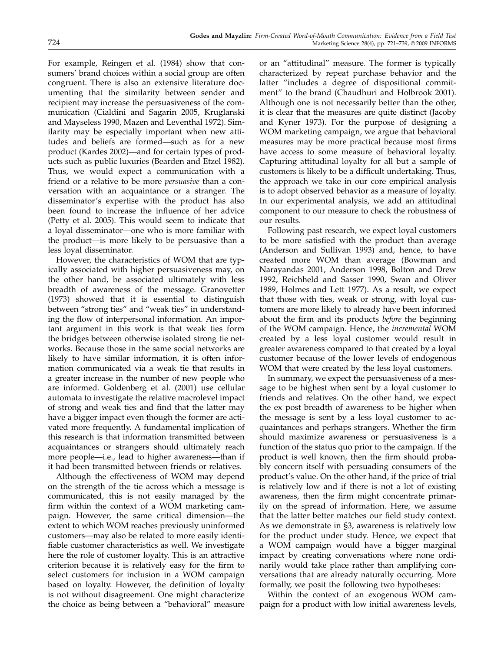For example, Reingen et al. (1984) show that consumers' brand choices within a social group are often congruent. There is also an extensive literature documenting that the similarity between sender and recipient may increase the persuasiveness of the communication (Cialdini and Sagarin 2005, Kruglanski and Mayseless 1990, Mazen and Leventhal 1972). Similarity may be especially important when new attitudes and beliefs are formed—such as for a new product (Kardes 2002)—and for certain types of products such as public luxuries (Bearden and Etzel 1982). Thus, we would expect a communication with a friend or a relative to be more *persuasive* than a conversation with an acquaintance or a stranger. The disseminator's expertise with the product has also been found to increase the influence of her advice

(Petty et al. 2005). This would seem to indicate that a loyal disseminator—one who is more familiar with the product—is more likely to be persuasive than a less loyal disseminator.

However, the characteristics of WOM that are typically associated with higher persuasiveness may, on the other hand, be associated ultimately with less breadth of awareness of the message. Granovetter (1973) showed that it is essential to distinguish between "strong ties" and "weak ties" in understanding the flow of interpersonal information. An important argument in this work is that weak ties form the bridges between otherwise isolated strong tie networks. Because those in the same social networks are likely to have similar information, it is often information communicated via a weak tie that results in a greater increase in the number of new people who are informed. Goldenberg et al. (2001) use cellular automata to investigate the relative macrolevel impact of strong and weak ties and find that the latter may have a bigger impact even though the former are activated more frequently. A fundamental implication of this research is that information transmitted between acquaintances or strangers should ultimately reach more people—i.e., lead to higher awareness—than if it had been transmitted between friends or relatives.

Although the effectiveness of WOM may depend on the strength of the tie across which a message is communicated, this is not easily managed by the firm within the context of a WOM marketing campaign. However, the same critical dimension—the extent to which WOM reaches previously uninformed customers—may also be related to more easily identifiable customer characteristics as well. We investigate here the role of customer loyalty. This is an attractive criterion because it is relatively easy for the firm to select customers for inclusion in a WOM campaign based on loyalty. However, the definition of loyalty is not without disagreement. One might characterize the choice as being between a "behavioral" measure

or an "attitudinal" measure. The former is typically characterized by repeat purchase behavior and the latter "includes a degree of dispositional commitment" to the brand (Chaudhuri and Holbrook 2001). Although one is not necessarily better than the other, it is clear that the measures are quite distinct (Jacoby and Kyner 1973). For the purpose of designing a WOM marketing campaign, we argue that behavioral measures may be more practical because most firms have access to some measure of behavioral loyalty. Capturing attitudinal loyalty for all but a sample of customers is likely to be a difficult undertaking. Thus, the approach we take in our core empirical analysis is to adopt observed behavior as a measure of loyalty. In our experimental analysis, we add an attitudinal component to our measure to check the robustness of our results.

Following past research, we expect loyal customers to be more satisfied with the product than average (Anderson and Sullivan 1993) and, hence, to have created more WOM than average (Bowman and Narayandas 2001, Anderson 1998, Bolton and Drew 1992, Reichheld and Sasser 1990, Swan and Oliver 1989, Holmes and Lett 1977). As a result, we expect that those with ties, weak or strong, with loyal customers are more likely to already have been informed about the firm and its products before the beginning of the WOM campaign. Hence, the incremental WOM created by a less loyal customer would result in greater awareness compared to that created by a loyal customer because of the lower levels of endogenous WOM that were created by the less loyal customers.

In summary, we expect the persuasiveness of a message to be highest when sent by a loyal customer to friends and relatives. On the other hand, we expect the ex post breadth of awareness to be higher when the message is sent by a less loyal customer to acquaintances and perhaps strangers. Whether the firm should maximize awareness or persuasiveness is a function of the status quo prior to the campaign. If the product is well known, then the firm should probably concern itself with persuading consumers of the product's value. On the other hand, if the price of trial is relatively low and if there is not a lot of existing awareness, then the firm might concentrate primarily on the spread of information. Here, we assume that the latter better matches our field study context. As we demonstrate in §3, awareness is relatively low for the product under study. Hence, we expect that a WOM campaign would have a bigger marginal impact by creating conversations where none ordinarily would take place rather than amplifying conversations that are already naturally occurring. More formally, we posit the following two hypotheses:

Within the context of an exogenous WOM campaign for a product with low initial awareness levels,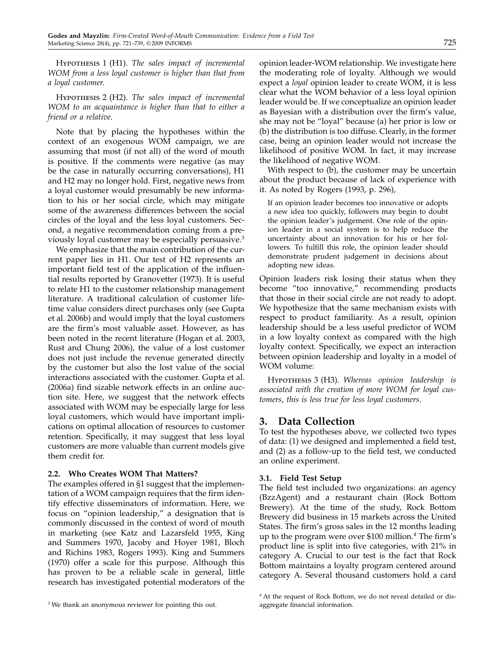HYPOTHESIS 1 (H1). The sales impact of incremental WOM from a less loyal customer is higher than that from a loyal customer.

HYPOTHESIS 2 (H2). The sales impact of incremental WOM to an acquaintance is higher than that to either a friend or a relative.

Note that by placing the hypotheses within the context of an exogenous WOM campaign, we are assuming that most (if not all) of the word of mouth is positive. If the comments were negative (as may be the case in naturally occurring conversations), H1 and H2 may no longer hold. First, negative news from a loyal customer would presumably be new information to his or her social circle, which may mitigate some of the awareness differences between the social circles of the loyal and the less loyal customers. Second, a negative recommendation coming from a previously loyal customer may be especially persuasive.<sup>3</sup>

We emphasize that the main contribution of the current paper lies in H1. Our test of H2 represents an important field test of the application of the influential results reported by Granovetter (1973). It is useful to relate H1 to the customer relationship management literature. A traditional calculation of customer lifetime value considers direct purchases only (see Gupta et al. 2006b) and would imply that the loyal customers are the firm's most valuable asset. However, as has been noted in the recent literature (Hogan et al. 2003, Rust and Chung 2006), the value of a lost customer does not just include the revenue generated directly by the customer but also the lost value of the social interactions associated with the customer. Gupta et al. (2006a) find sizable network effects in an online auction site. Here, we suggest that the network effects associated with WOM may be especially large for less loyal customers, which would have important implications on optimal allocation of resources to customer retention. Specifically, it may suggest that less loyal customers are more valuable than current models give them credit for.

## 2.2. Who Creates WOM That Matters?

The examples offered in §1 suggest that the implementation of a WOM campaign requires that the firm identify effective disseminators of information. Here, we focus on "opinion leadership," a designation that is commonly discussed in the context of word of mouth in marketing (see Katz and Lazarsfeld 1955, King and Summers 1970, Jacoby and Hoyer 1981, Bloch and Richins 1983, Rogers 1993). King and Summers (1970) offer a scale for this purpose. Although this has proven to be a reliable scale in general, little research has investigated potential moderators of the

opinion leader-WOM relationship. We investigate here the moderating role of loyalty. Although we would expect a loyal opinion leader to create WOM, it is less clear what the WOM behavior of a less loyal opinion leader would be. If we conceptualize an opinion leader as Bayesian with a distribution over the firm's value, she may not be "loyal" because (a) her prior is low or (b) the distribution is too diffuse. Clearly, in the former case, being an opinion leader would not increase the likelihood of positive WOM. In fact, it may increase the likelihood of negative WOM.

With respect to (b), the customer may be uncertain about the product because of lack of experience with it. As noted by Rogers (1993, p. 296),

If an opinion leader becomes too innovative or adopts a new idea too quickly, followers may begin to doubt the opinion leader's judgement. One role of the opinion leader in a social system is to help reduce the uncertainty about an innovation for his or her followers. To fulfill this role, the opinion leader should demonstrate prudent judgement in decisions about adopting new ideas.

Opinion leaders risk losing their status when they become "too innovative," recommending products that those in their social circle are not ready to adopt. We hypothesize that the same mechanism exists with respect to product familiarity. As a result, opinion leadership should be a less useful predictor of WOM in a low loyalty context as compared with the high loyalty context. Specifically, we expect an interaction between opinion leadership and loyalty in a model of WOM volume:

HYPOTHESIS 3 (H3). Whereas opinion leadership is associated with the creation of more WOM for loyal customers, this is less true for less loyal customers.

# 3. Data Collection

To test the hypotheses above, we collected two types of data: (1) we designed and implemented a field test, and (2) as a follow-up to the field test, we conducted an online experiment.

## 3.1. Field Test Setup

The field test included two organizations: an agency (BzzAgent) and a restaurant chain (Rock Bottom Brewery). At the time of the study, Rock Bottom Brewery did business in 15 markets across the United States. The firm's gross sales in the 12 months leading up to the program were over  $$100$  million.<sup>4</sup> The firm's product line is split into five categories, with 21% in category A. Crucial to our test is the fact that Rock Bottom maintains a loyalty program centered around category A. Several thousand customers hold a card

<sup>&</sup>lt;sup>3</sup> We thank an anonymous reviewer for pointing this out.

<sup>&</sup>lt;sup>4</sup> At the request of Rock Bottom, we do not reveal detailed or disaggregate financial information.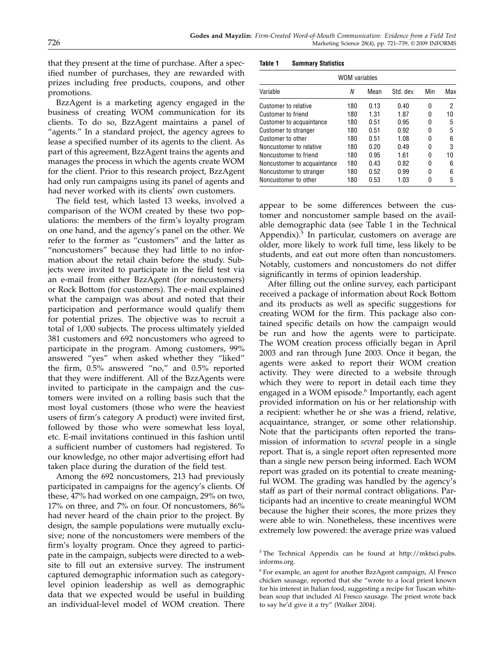that they present at the time of purchase. After a specified number of purchases, they are rewarded with prizes including free products, coupons, and other promotions.

BzzAgent is a marketing agency engaged in the business of creating WOM communication for its clients. To do so, BzzAgent maintains a panel of "agents." In a standard project, the agency agrees to lease a specified number of its agents to the client. As part of this agreement, BzzAgent trains the agents and manages the process in which the agents create WOM for the client. Prior to this research project, BzzAgent had only run campaigns using its panel of agents and had never worked with its clients' own customers.

The field test, which lasted 13 weeks, involved a comparison of the WOM created by these two populations: the members of the firm's loyalty program on one hand, and the agency's panel on the other. We refer to the former as "customers" and the latter as "noncustomers" because they had little to no information about the retail chain before the study. Subjects were invited to participate in the field test via an e-mail from either BzzAgent (for noncustomers) or Rock Bottom (for customers). The e-mail explained what the campaign was about and noted that their participation and performance would qualify them for potential prizes. The objective was to recruit a total of 1,000 subjects. The process ultimately yielded 381 customers and 692 noncustomers who agreed to participate in the program. Among customers, 99% answered "yes" when asked whether they "liked" the firm, 0.5% answered "no," and 0.5% reported that they were indifferent. All of the BzzAgents were invited to participate in the campaign and the customers were invited on a rolling basis such that the most loyal customers (those who were the heaviest users of firm's category A product) were invited first, followed by those who were somewhat less loyal, etc. E-mail invitations continued in this fashion until a sufficient number of customers had registered. To our knowledge, no other major advertising effort had taken place during the duration of the field test.

Among the 692 noncustomers, 213 had previously participated in campaigns for the agency's clients. Of these, 47% had worked on one campaign, 29% on two, 17% on three, and 7% on four. Of noncustomers, 86% had never heard of the chain prior to the project. By design, the sample populations were mutually exclusive; none of the noncustomers were members of the firm's loyalty program. Once they agreed to participate in the campaign, subjects were directed to a website to fill out an extensive survey. The instrument captured demographic information such as categorylevel opinion leadership as well as demographic data that we expected would be useful in building an individual-level model of WOM creation. There

| Table 1 | <b>Summary Statistics</b> |  |
|---------|---------------------------|--|
|---------|---------------------------|--|

| <b>WOM</b> variables        |     |      |           |     |     |  |  |
|-----------------------------|-----|------|-----------|-----|-----|--|--|
| Variable                    | N   | Mean | Std. dev. | Min | Max |  |  |
| Customer to relative        | 180 | 0.13 | 0.40      | U   | 2   |  |  |
| Customer to friend          | 180 | 1.31 | 1.87      | ŋ   | 10  |  |  |
| Customer to acquaintance    | 180 | 0.51 | 0.95      | 0   | 5   |  |  |
| Customer to stranger        | 180 | 0.51 | 0.92      | ŋ   | 5   |  |  |
| Customer to other           | 180 | 0.51 | 1.08      | ŋ   | 6   |  |  |
| Noncustomer to relative     | 180 | 0.20 | 0.49      | 0   | 3   |  |  |
| Noncustomer to friend       | 180 | 0.95 | 1.61      | ŋ   | 10  |  |  |
| Noncustomer to acquaintance | 180 | 0.43 | 0.82      | ŋ   | 6   |  |  |
| Noncustomer to stranger     | 180 | 0.52 | 0.99      | 0   | 6   |  |  |
| Noncustomer to other        | 180 | 0.53 | 1.03      |     | 5   |  |  |

appear to be some differences between the customer and noncustomer sample based on the available demographic data (see Table 1 in the Technical Appendix). $5$  In particular, customers on average are older, more likely to work full time, less likely to be students, and eat out more often than noncustomers. Notably, customers and noncustomers do not differ significantly in terms of opinion leadership.

After filling out the online survey, each participant received a package of information about Rock Bottom and its products as well as specific suggestions for creating WOM for the firm. This package also contained specific details on how the campaign would be run and how the agents were to participate. The WOM creation process officially began in April 2003 and ran through June 2003. Once it began, the agents were asked to report their WOM creation activity. They were directed to a website through which they were to report in detail each time they engaged in a WOM episode.<sup>6</sup> Importantly, each agent provided information on his or her relationship with a recipient: whether he or she was a friend, relative, acquaintance, stranger, or some other relationship. Note that the participants often reported the transmission of information to several people in a single report. That is, a single report often represented more than a single new person being informed. Each WOM report was graded on its potential to create meaningful WOM. The grading was handled by the agency's staff as part of their normal contract obligations. Participants had an incentive to create meaningful WOM because the higher their scores, the more prizes they were able to win. Nonetheless, these incentives were extremely low powered: the average prize was valued

<sup>5</sup> The Technical Appendix can be found at http://mktsci.pubs. informs.org.

<sup>6</sup> For example, an agent for another BzzAgent campaign, Al Fresco chicken sausage, reported that she "wrote to a local priest known for his interest in Italian food, suggesting a recipe for Tuscan whitebean soup that included Al Fresco sausage. The priest wrote back to say he'd give it a try" (Walker 2004).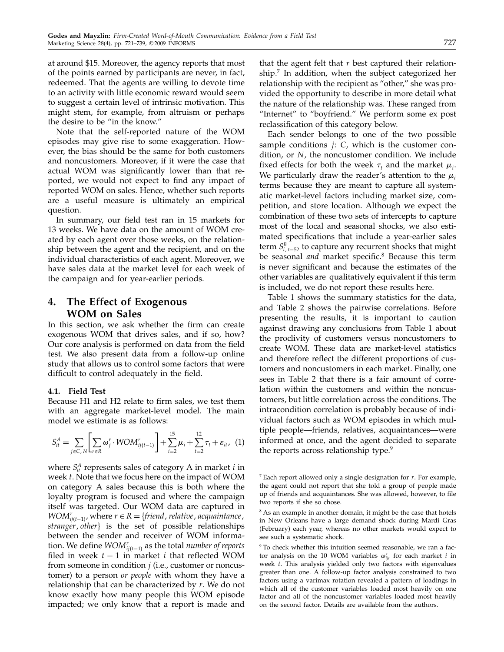at around \$15. Moreover, the agency reports that most of the points earned by participants are never, in fact, redeemed. That the agents are willing to devote time to an activity with little economic reward would seem to suggest a certain level of intrinsic motivation. This might stem, for example, from altruism or perhaps the desire to be "in the know."

Note that the self-reported nature of the WOM episodes may give rise to some exaggeration. However, the bias should be the same for both customers and noncustomers. Moreover, if it were the case that actual WOM was significantly lower than that reported, we would not expect to find any impact of reported WOM on sales. Hence, whether such reports are a useful measure is ultimately an empirical question.

In summary, our field test ran in 15 markets for 13 weeks. We have data on the amount of WOM created by each agent over those weeks, on the relationship between the agent and the recipient, and on the individual characteristics of each agent. Moreover, we have sales data at the market level for each week of the campaign and for year-earlier periods.

# 4. The Effect of Exogenous WOM on Sales

In this section, we ask whether the firm can create exogenous WOM that drives sales, and if so, how? Our core analysis is performed on data from the field test. We also present data from a follow-up online study that allows us to control some factors that were difficult to control adequately in the field.

## 4.1. Field Test

Because H1 and H2 relate to firm sales, we test them with an aggregate market-level model. The main model we estimate is as follows:

$$
S_{it}^{A} = \sum_{j \in C, N} \left[ \sum_{r \in R} \omega_{j}^{r} \cdot WOM_{ij(t-1)}^{r} \right] + \sum_{i=2}^{15} \mu_{i} + \sum_{t=2}^{12} \tau_{t} + \varepsilon_{it}, \tag{1}
$$

where  $S_{it}^A$  represents sales of category A in market *i* in week t. Note that we focus here on the impact of WOM on category A sales because this is both where the loyalty program is focused and where the campaign itself was targeted. Our WOM data are captured in  $WOM_{ij(t-1)}^r$ , where  $r \in R = \{friend, relative, a equaintance,$ stranger, other is the set of possible relationships between the sender and receiver of WOM information. We define  $WOM^r_{ij(t-1)}$  as the total *number of reports* filed in week  $t - 1$  in market i that reflected WOM from someone in condition  $j$  (i.e., customer or noncustomer) to a person or people with whom they have a relationship that can be characterized by  $r$ . We do not know exactly how many people this WOM episode impacted; we only know that a report is made and

that the agent felt that  $r$  best captured their relationship.7 In addition, when the subject categorized her relationship with the recipient as "other," she was provided the opportunity to describe in more detail what the nature of the relationship was. These ranged from "Internet" to "boyfriend." We perform some ex post reclassification of this category below.

Each sender belongs to one of the two possible sample conditions  $j: C$ , which is the customer condition, or  $N$ , the noncustomer condition. We include fixed effects for both the week  $\tau_t$  and the market  $\mu_i$ . We particularly draw the reader's attention to the  $\mu_i$ terms because they are meant to capture all systematic market-level factors including market size, competition, and store location. Although we expect the combination of these two sets of intercepts to capture most of the local and seasonal shocks, we also estimated specifications that include a year-earlier sales term  $S_{i, t-52}^B$  to capture any recurrent shocks that might be seasonal and market specific.<sup>8</sup> Because this term is never significant and because the estimates of the other variables are qualitatively equivalent if this term is included, we do not report these results here.

Table 1 shows the summary statistics for the data, and Table 2 shows the pairwise correlations. Before presenting the results, it is important to caution against drawing any conclusions from Table 1 about the proclivity of customers versus noncustomers to create WOM. These data are market-level statistics and therefore reflect the different proportions of customers and noncustomers in each market. Finally, one sees in Table 2 that there is a fair amount of correlation within the customers and within the noncustomers, but little correlation across the conditions. The intracondition correlation is probably because of individual factors such as WOM episodes in which multiple people—friends, relatives, acquaintances—were informed at once, and the agent decided to separate the reports across relationship type.<sup>9</sup>

 $<sup>7</sup>$  Each report allowed only a single designation for  $r$ . For example,</sup> the agent could not report that she told a group of people made up of friends and acquaintances. She was allowed, however, to file two reports if she so chose.

<sup>&</sup>lt;sup>8</sup> As an example in another domain, it might be the case that hotels in New Orleans have a large demand shock during Mardi Gras (February) each year, whereas no other markets would expect to see such a systematic shock.

<sup>&</sup>lt;sup>9</sup> To check whether this intuition seemed reasonable, we ran a factor analysis on the 10 WOM variables  $\omega_{ijt}^r$  for each market *i* in week t. This analysis yielded only two factors with eigenvalues greater than one. A follow-up factor analysis constrained to two factors using a varimax rotation revealed a pattern of loadings in which all of the customer variables loaded most heavily on one factor and all of the noncustomer variables loaded most heavily on the second factor. Details are available from the authors.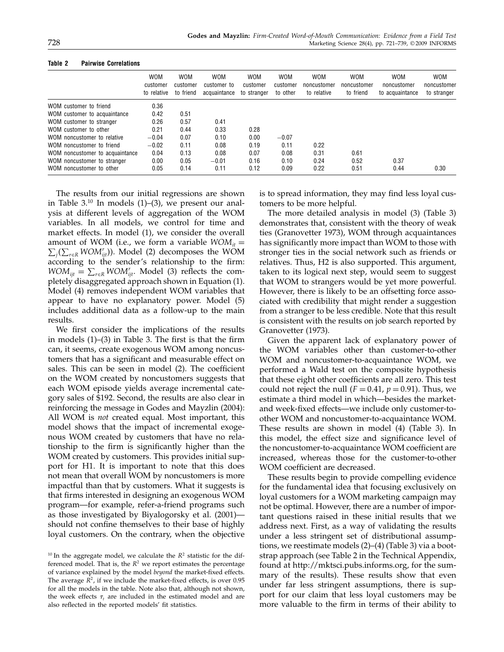|                                 | <b>WOM</b><br>customer<br>to relative | <b>WOM</b><br>customer<br>to friend | <b>WOM</b><br>customer to<br>acquaintance | <b>WOM</b><br>customer<br>to stranger | <b>WOM</b><br>customer<br>to other | <b>WOM</b><br>noncustomer<br>to relative | <b>WOM</b><br>noncustomer<br>to friend | <b>WOM</b><br>noncustomer<br>to acquaintance | <b>WOM</b><br>noncustomer<br>to stranger |
|---------------------------------|---------------------------------------|-------------------------------------|-------------------------------------------|---------------------------------------|------------------------------------|------------------------------------------|----------------------------------------|----------------------------------------------|------------------------------------------|
| WOM customer to friend          | 0.36                                  |                                     |                                           |                                       |                                    |                                          |                                        |                                              |                                          |
| WOM customer to acquaintance    | 0.42                                  | 0.51                                |                                           |                                       |                                    |                                          |                                        |                                              |                                          |
| WOM customer to stranger        | 0.26                                  | 0.57                                | 0.41                                      |                                       |                                    |                                          |                                        |                                              |                                          |
| WOM customer to other           | 0.21                                  | 0.44                                | 0.33                                      | 0.28                                  |                                    |                                          |                                        |                                              |                                          |
| WOM noncustomer to relative     | $-0.04$                               | 0.07                                | 0.10                                      | 0.00                                  | $-0.07$                            |                                          |                                        |                                              |                                          |
| WOM noncustomer to friend       | $-0.02$                               | 0.11                                | 0.08                                      | 0.19                                  | 0.11                               | 0.22                                     |                                        |                                              |                                          |
| WOM noncustomer to acquaintance | 0.04                                  | 0.13                                | 0.08                                      | 0.07                                  | 0.08                               | 0.31                                     | 0.61                                   |                                              |                                          |
| WOM noncustomer to stranger     | 0.00                                  | 0.05                                | $-0.01$                                   | 0.16                                  | 0.10                               | 0.24                                     | 0.52                                   | 0.37                                         |                                          |
| WOM noncustomer to other        | 0.05                                  | 0.14                                | 0.11                                      | 0.12                                  | 0.09                               | 0.22                                     | 0.51                                   | 0.44                                         | 0.30                                     |

#### Table 2 Pairwise Correlations

The results from our initial regressions are shown in Table  $3^{10}$  In models  $(1)$ – $(3)$ , we present our analysis at different levels of aggregation of the WOM variables. In all models, we control for time and market effects. In model (1), we consider the overall amount of WOM (i.e., we form a variable  $WOM_{ii} = \sum_j (\sum_{r \in R} WOM_{ijt}^r)$ ). Model (2) decomposes the WOM according to the sender's relationship to the firm:  $WOM_{ijt} = \sum_{r \in R} WOM_{ijt}^r$ . Model (3) reflects the completely disaggregated approach shown in Equation (1). Model (4) removes independent WOM variables that appear to have no explanatory power. Model (5) includes additional data as a follow-up to the main results.

We first consider the implications of the results in models (1)–(3) in Table 3. The first is that the firm can, it seems, create exogenous WOM among noncustomers that has a significant and measurable effect on sales. This can be seen in model (2). The coefficient on the WOM created by noncustomers suggests that each WOM episode yields average incremental category sales of \$192. Second, the results are also clear in reinforcing the message in Godes and Mayzlin (2004): All WOM is *not* created equal. Most important, this model shows that the impact of incremental exogenous WOM created by customers that have no relationship to the firm is significantly higher than the WOM created by customers. This provides initial support for H1. It is important to note that this does not mean that overall WOM by noncustomers is more impactful than that by customers. What it suggests is that firms interested in designing an exogenous WOM program—for example, refer-a-friend programs such as those investigated by Biyalogorsky et al. (2001) should not confine themselves to their base of highly loyal customers. On the contrary, when the objective

is to spread information, they may find less loyal customers to be more helpful.

The more detailed analysis in model (3) (Table 3) demonstrates that, consistent with the theory of weak ties (Granovetter 1973), WOM through acquaintances has significantly more impact than WOM to those with stronger ties in the social network such as friends or relatives. Thus, H2 is also supported. This argument, taken to its logical next step, would seem to suggest that WOM to strangers would be yet more powerful. However, there is likely to be an offsetting force associated with credibility that might render a suggestion from a stranger to be less credible. Note that this result is consistent with the results on job search reported by Granovetter (1973).

Given the apparent lack of explanatory power of the WOM variables other than customer-to-other WOM and noncustomer-to-acquaintance WOM, we performed a Wald test on the composite hypothesis that these eight other coefficients are all zero. This test could not reject the null ( $F = 0.41$ ,  $p = 0.91$ ). Thus, we estimate a third model in which—besides the marketand week-fixed effects—we include only customer-toother WOM and noncustomer-to-acquaintance WOM. These results are shown in model (4) (Table 3). In this model, the effect size and significance level of the noncustomer-to-acquaintance WOM coefficient are increased, whereas those for the customer-to-other WOM coefficient are decreased.

These results begin to provide compelling evidence for the fundamental idea that focusing exclusively on loyal customers for a WOM marketing campaign may not be optimal. However, there are a number of important questions raised in these initial results that we address next. First, as a way of validating the results under a less stringent set of distributional assumptions, we reestimate models (2)–(4) (Table 3) via a bootstrap approach (see Table 2 in the Technical Appendix, found at http://mktsci.pubs.informs.org, for the summary of the results). These results show that even under far less stringent assumptions, there is support for our claim that less loyal customers may be more valuable to the firm in terms of their ability to

<sup>&</sup>lt;sup>10</sup> In the aggregate model, we calculate the  $R<sup>2</sup>$  statistic for the differenced model. That is, the  $R^2$  we report estimates the percentage of variance explained by the model beyond the market-fixed effects. The average  $R^2$ , if we include the market-fixed effects, is over 0.95 for all the models in the table. Note also that, although not shown, the week effects  $\tau_t$  are included in the estimated model and are also reflected in the reported models' fit statistics.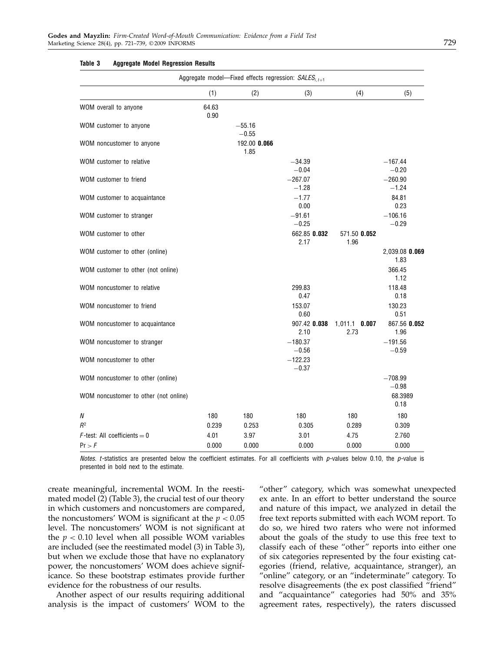| Aggregate model-Fixed effects regression: $SALES_{i,t+1}$ |               |                      |                      |                         |                        |  |  |  |
|-----------------------------------------------------------|---------------|----------------------|----------------------|-------------------------|------------------------|--|--|--|
|                                                           | (1)           | (2)                  | (3)                  | (4)                     | (5)                    |  |  |  |
| WOM overall to anyone                                     | 64.63<br>0.90 |                      |                      |                         |                        |  |  |  |
| WOM customer to anyone                                    |               | $-55.16$<br>$-0.55$  |                      |                         |                        |  |  |  |
| WOM noncustomer to anyone                                 |               | 192.00 0.066<br>1.85 |                      |                         |                        |  |  |  |
| WOM customer to relative                                  |               |                      | $-34.39$<br>$-0.04$  |                         | $-167.44$<br>$-0.20$   |  |  |  |
| WOM customer to friend                                    |               |                      | $-267.07$<br>$-1.28$ |                         | $-260.90$<br>$-1.24$   |  |  |  |
| WOM customer to acquaintance                              |               |                      | $-1.77$<br>0.00      |                         | 84.81<br>0.23          |  |  |  |
| WOM customer to stranger                                  |               |                      | $-91.61$<br>$-0.25$  |                         | $-106.16$<br>$-0.29$   |  |  |  |
| WOM customer to other                                     |               |                      | 662.85 0.032<br>2.17 | 571.50 0.052<br>1.96    |                        |  |  |  |
| WOM customer to other (online)                            |               |                      |                      |                         | 2,039.08 0.069<br>1.83 |  |  |  |
| WOM customer to other (not online)                        |               |                      |                      |                         | 366.45<br>1.12         |  |  |  |
| WOM noncustomer to relative                               |               |                      | 299.83<br>0.47       |                         | 118.48<br>0.18         |  |  |  |
| WOM noncustomer to friend                                 |               |                      | 153.07<br>0.60       |                         | 130.23<br>0.51         |  |  |  |
| WOM noncustomer to acquaintance                           |               |                      | 907.42 0.038<br>2.10 | $1,011.1$ 0.007<br>2.73 | 867.56 0.052<br>1.96   |  |  |  |
| WOM noncustomer to stranger                               |               |                      | $-180.37$<br>$-0.56$ |                         | $-191.56$<br>$-0.59$   |  |  |  |
| WOM noncustomer to other                                  |               |                      | $-122.23$<br>$-0.37$ |                         |                        |  |  |  |
| WOM noncustomer to other (online)                         |               |                      |                      |                         | $-708.99$<br>$-0.98$   |  |  |  |
| WOM noncustomer to other (not online)                     |               |                      |                      |                         | 68.3989<br>0.18        |  |  |  |
| N                                                         | 180           | 180                  | 180                  | 180                     | 180                    |  |  |  |
| $R^2$                                                     | 0.239         | 0.253                | 0.305                | 0.289                   | 0.309                  |  |  |  |
| F-test: All coefficients $= 0$                            | 4.01          | 3.97                 | 3.01                 | 4.75                    | 2.760                  |  |  |  |
| Pr > F                                                    | 0.000         | 0.000                | 0.000                | 0.000                   | 0.000                  |  |  |  |

#### Table 3 Aggregate Model Regression Results

Notes. t-statistics are presented below the coefficient estimates. For all coefficients with  $p$ -values below 0.10, the  $p$ -value is presented in bold next to the estimate.

create meaningful, incremental WOM. In the reestimated model (2) (Table 3), the crucial test of our theory in which customers and noncustomers are compared, the noncustomers' WOM is significant at the  $p < 0.05$ level. The noncustomers' WOM is not significant at the  $p < 0.10$  level when all possible WOM variables are included (see the reestimated model (3) in Table 3), but when we exclude those that have no explanatory power, the noncustomers' WOM does achieve significance. So these bootstrap estimates provide further evidence for the robustness of our results.

Another aspect of our results requiring additional analysis is the impact of customers' WOM to the

"other" category, which was somewhat unexpected ex ante. In an effort to better understand the source and nature of this impact, we analyzed in detail the free text reports submitted with each WOM report. To do so, we hired two raters who were not informed about the goals of the study to use this free text to classify each of these "other" reports into either one of six categories represented by the four existing categories (friend, relative, acquaintance, stranger), an "online" category, or an "indeterminate" category. To resolve disagreements (the ex post classified "friend" and "acquaintance" categories had 50% and 35% agreement rates, respectively), the raters discussed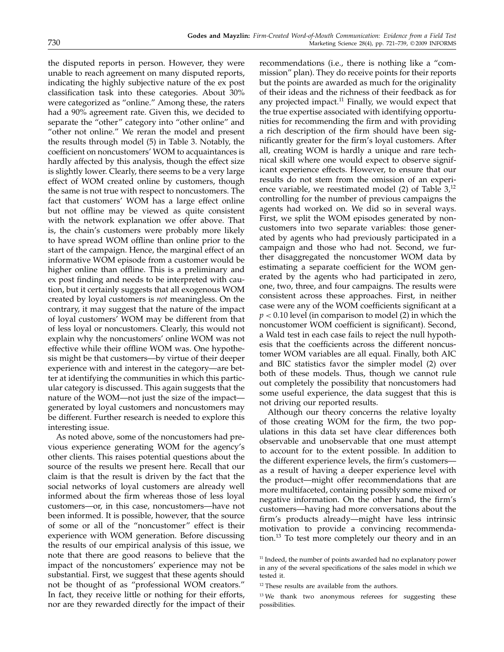the disputed reports in person. However, they were unable to reach agreement on many disputed reports, indicating the highly subjective nature of the ex post classification task into these categories. About 30% were categorized as "online." Among these, the raters had a 90% agreement rate. Given this, we decided to separate the "other" category into "other online" and "other not online." We reran the model and present the results through model (5) in Table 3. Notably, the coefficient on noncustomers' WOM to acquaintances is hardly affected by this analysis, though the effect size is slightly lower. Clearly, there seems to be a very large effect of WOM created online by customers, though the same is not true with respect to noncustomers. The fact that customers' WOM has a large effect online but not offline may be viewed as quite consistent with the network explanation we offer above. That is, the chain's customers were probably more likely to have spread WOM offline than online prior to the start of the campaign. Hence, the marginal effect of an informative WOM episode from a customer would be higher online than offline. This is a preliminary and ex post finding and needs to be interpreted with caution, but it certainly suggests that all exogenous WOM created by loyal customers is not meaningless. On the contrary, it may suggest that the nature of the impact of loyal customers' WOM may be different from that of less loyal or noncustomers. Clearly, this would not explain why the noncustomers' online WOM was not effective while their offline WOM was. One hypothesis might be that customers—by virtue of their deeper experience with and interest in the category—are better at identifying the communities in which this particular category is discussed. This again suggests that the nature of the WOM—not just the size of the impact generated by loyal customers and noncustomers may be different. Further research is needed to explore this interesting issue.

As noted above, some of the noncustomers had previous experience generating WOM for the agency's other clients. This raises potential questions about the source of the results we present here. Recall that our claim is that the result is driven by the fact that the social networks of loyal customers are already well informed about the firm whereas those of less loyal customers—or, in this case, noncustomers—have not been informed. It is possible, however, that the source of some or all of the "noncustomer" effect is their experience with WOM generation. Before discussing the results of our empirical analysis of this issue, we note that there are good reasons to believe that the impact of the noncustomers' experience may not be substantial. First, we suggest that these agents should not be thought of as "professional WOM creators." In fact, they receive little or nothing for their efforts, nor are they rewarded directly for the impact of their

recommendations (i.e., there is nothing like a "commission" plan). They do receive points for their reports but the points are awarded as much for the originality of their ideas and the richness of their feedback as for any projected impact.<sup>11</sup> Finally, we would expect that the true expertise associated with identifying opportunities for recommending the firm and with providing a rich description of the firm should have been significantly greater for the firm's loyal customers. After all, creating WOM is hardly a unique and rare technical skill where one would expect to observe significant experience effects. However, to ensure that our results do not stem from the omission of an experience variable, we reestimated model (2) of Table  $3<sup>12</sup>$ controlling for the number of previous campaigns the agents had worked on. We did so in several ways. First, we split the WOM episodes generated by noncustomers into two separate variables: those generated by agents who had previously participated in a campaign and those who had not. Second, we further disaggregated the noncustomer WOM data by estimating a separate coefficient for the WOM generated by the agents who had participated in zero, one, two, three, and four campaigns. The results were consistent across these approaches. First, in neither case were any of the WOM coefficients significant at a  $p < 0.10$  level (in comparison to model (2) in which the noncustomer WOM coefficient is significant). Second, a Wald test in each case fails to reject the null hypothesis that the coefficients across the different noncustomer WOM variables are all equal. Finally, both AIC and BIC statistics favor the simpler model (2) over both of these models. Thus, though we cannot rule out completely the possibility that noncustomers had some useful experience, the data suggest that this is not driving our reported results.

Although our theory concerns the relative loyalty of those creating WOM for the firm, the two populations in this data set have clear differences both observable and unobservable that one must attempt to account for to the extent possible. In addition to the different experience levels, the firm's customers as a result of having a deeper experience level with the product—might offer recommendations that are more multifaceted, containing possibly some mixed or negative information. On the other hand, the firm's customers—having had more conversations about the firm's products already—might have less intrinsic motivation to provide a convincing recommendation.<sup>13</sup> To test more completely our theory and in an

<sup>&</sup>lt;sup>11</sup> Indeed, the number of points awarded had no explanatory power in any of the several specifications of the sales model in which we tested it.

<sup>&</sup>lt;sup>12</sup> These results are available from the authors.

<sup>&</sup>lt;sup>13</sup> We thank two anonymous referees for suggesting these possibilities.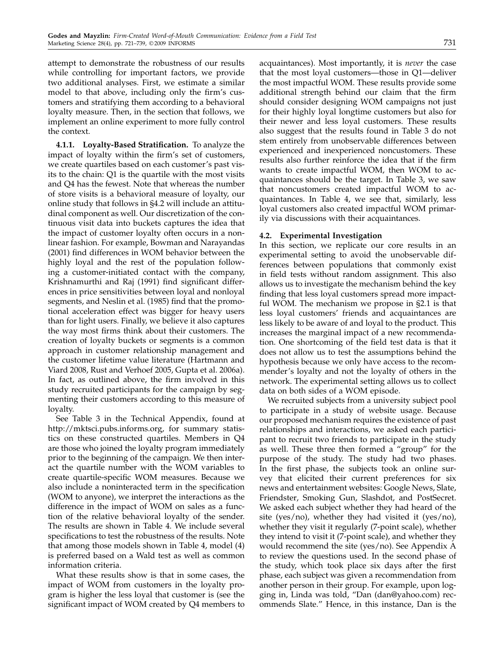attempt to demonstrate the robustness of our results while controlling for important factors, we provide two additional analyses. First, we estimate a similar model to that above, including only the firm's customers and stratifying them according to a behavioral loyalty measure. Then, in the section that follows, we implement an online experiment to more fully control the context.

4.1.1. Loyalty-Based Stratification. To analyze the impact of loyalty within the firm's set of customers, we create quartiles based on each customer's past visits to the chain: Q1 is the quartile with the most visits and Q4 has the fewest. Note that whereas the number of store visits is a behavioral measure of loyalty, our online study that follows in §4.2 will include an attitudinal component as well. Our discretization of the continuous visit data into buckets captures the idea that the impact of customer loyalty often occurs in a nonlinear fashion. For example, Bowman and Narayandas (2001) find differences in WOM behavior between the highly loyal and the rest of the population following a customer-initiated contact with the company, Krishnamurthi and Raj (1991) find significant differences in price sensitivities between loyal and nonloyal segments, and Neslin et al. (1985) find that the promotional acceleration effect was bigger for heavy users than for light users. Finally, we believe it also captures the way most firms think about their customers. The creation of loyalty buckets or segments is a common approach in customer relationship management and the customer lifetime value literature (Hartmann and Viard 2008, Rust and Verhoef 2005, Gupta et al. 2006a). In fact, as outlined above, the firm involved in this study recruited participants for the campaign by segmenting their customers according to this measure of loyalty.

See Table 3 in the Technical Appendix, found at http://mktsci.pubs.informs.org, for summary statistics on these constructed quartiles. Members in Q4 are those who joined the loyalty program immediately prior to the beginning of the campaign. We then interact the quartile number with the WOM variables to create quartile-specific WOM measures. Because we also include a noninteracted term in the specification (WOM to anyone), we interpret the interactions as the difference in the impact of WOM on sales as a function of the relative behavioral loyalty of the sender. The results are shown in Table 4. We include several specifications to test the robustness of the results. Note that among those models shown in Table 4, model (4) is preferred based on a Wald test as well as common information criteria.

What these results show is that in some cases, the impact of WOM from customers in the loyalty program is higher the less loyal that customer is (see the significant impact of WOM created by Q4 members to

acquaintances). Most importantly, it is *never* the case that the most loyal customers—those in Q1—deliver the most impactful WOM. These results provide some additional strength behind our claim that the firm should consider designing WOM campaigns not just for their highly loyal longtime customers but also for their newer and less loyal customers. These results also suggest that the results found in Table 3 do not stem entirely from unobservable differences between experienced and inexperienced noncustomers. These results also further reinforce the idea that if the firm wants to create impactful WOM, then WOM to acquaintances should be the target. In Table 3, we saw that noncustomers created impactful WOM to acquaintances. In Table 4, we see that, similarly, less loyal customers also created impactful WOM primarily via discussions with their acquaintances.

## 4.2. Experimental Investigation

In this section, we replicate our core results in an experimental setting to avoid the unobservable differences between populations that commonly exist in field tests without random assignment. This also allows us to investigate the mechanism behind the key finding that less loyal customers spread more impactful WOM. The mechanism we propose in §2.1 is that less loyal customers' friends and acquaintances are less likely to be aware of and loyal to the product. This increases the marginal impact of a new recommendation. One shortcoming of the field test data is that it does not allow us to test the assumptions behind the hypothesis because we only have access to the recommender's loyalty and not the loyalty of others in the network. The experimental setting allows us to collect data on both sides of a WOM episode.

We recruited subjects from a university subject pool to participate in a study of website usage. Because our proposed mechanism requires the existence of past relationships and interactions, we asked each participant to recruit two friends to participate in the study as well. These three then formed a "group" for the purpose of the study. The study had two phases. In the first phase, the subjects took an online survey that elicited their current preferences for six news and entertainment websites: Google News, Slate, Friendster, Smoking Gun, Slashdot, and PostSecret. We asked each subject whether they had heard of the site (yes/no), whether they had visited it (yes/no), whether they visit it regularly (7-point scale), whether they intend to visit it (7-point scale), and whether they would recommend the site (yes/no). See Appendix A to review the questions used. In the second phase of the study, which took place six days after the first phase, each subject was given a recommendation from another person in their group. For example, upon logging in, Linda was told, "Dan (dan@yahoo.com) recommends Slate." Hence, in this instance, Dan is the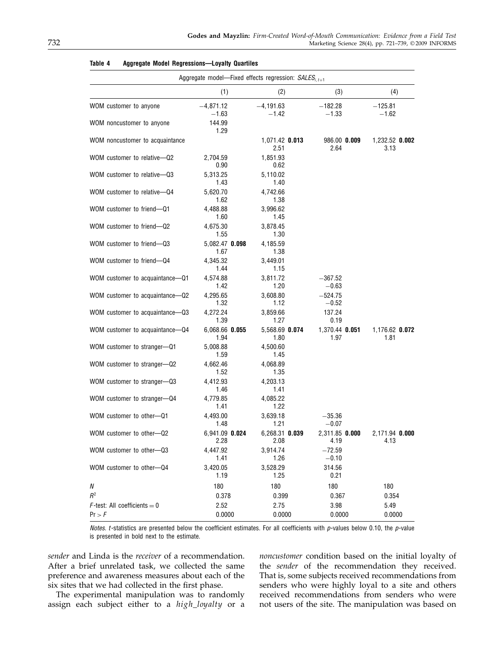|                                 |                        | Aggregate model-Fixed effects regression: $SALES_{i,t+1}$ |                        |                        |
|---------------------------------|------------------------|-----------------------------------------------------------|------------------------|------------------------|
|                                 | (1)                    | (2)                                                       | (3)                    | (4)                    |
| WOM customer to anyone          | $-4,871.12$<br>$-1.63$ | $-4, 191.63$<br>$-1.42$                                   | $-182.28$<br>$-1.33$   | $-125.81$<br>$-1.62$   |
| WOM noncustomer to anyone       | 144.99<br>1.29         |                                                           |                        |                        |
| WOM noncustomer to acquaintance |                        | 1,071.42 0.013<br>2.51                                    | 986.00 0.009<br>2.64   | 1,232.52 0.002<br>3.13 |
| WOM customer to relative-Q2     | 2,704.59<br>0.90       | 1,851.93<br>0.62                                          |                        |                        |
| WOM customer to relative-Q3     | 5,313.25<br>1.43       | 5,110.02<br>1.40                                          |                        |                        |
| WOM customer to relative-Q4     | 5,620.70<br>1.62       | 4,742.66<br>1.38                                          |                        |                        |
| WOM customer to friend-Q1       | 4,488.88<br>1.60       | 3,996.62<br>1.45                                          |                        |                        |
| WOM customer to friend-Q2       | 4,675.30<br>1.55       | 3,878.45<br>1.30                                          |                        |                        |
| WOM customer to friend-Q3       | 5,082.47 0.098<br>1.67 | 4,185.59<br>1.38                                          |                        |                        |
| WOM customer to friend-Q4       | 4,345.32<br>1.44       | 3,449.01<br>1.15                                          |                        |                        |
| WOM customer to acquaintance-Q1 | 4,574.88<br>1.42       | 3,811.72<br>1.20                                          | $-367.52$<br>$-0.63$   |                        |
| WOM customer to acquaintance-Q2 | 4,295.65<br>1.32       | 3,608.80<br>1.12                                          | $-524.75$<br>$-0.52$   |                        |
| WOM customer to acquaintance-Q3 | 4,272.24<br>1.39       | 3,859.66<br>1.27                                          | 137.24<br>0.19         |                        |
| WOM customer to acquaintance-Q4 | 6,068.66 0.055<br>1.94 | 5,568.69 0.074<br>1.80                                    | 1,370.44 0.051<br>1.97 | 1,176.62 0.072<br>1.81 |
| WOM customer to stranger-Q1     | 5,008.88<br>1.59       | 4,500.60<br>1.45                                          |                        |                        |
| WOM customer to stranger-Q2     | 4,662.46<br>1.52       | 4,068.89<br>1.35                                          |                        |                        |
| WOM customer to stranger-03     | 4,412.93<br>1.46       | 4,203.13<br>1.41                                          |                        |                        |
| WOM customer to stranger-Q4     | 4,779.85<br>1.41       | 4,085.22<br>1.22                                          |                        |                        |
| WOM customer to other-01        | 4,493.00<br>1.48       | 3,639.18<br>1.21                                          | $-35.36$<br>$-0.07$    |                        |
| WOM customer to other-02        | 6.941.09 0.024<br>2.28 | 6.268.31 0.039<br>2.08                                    | 2,311.85 0.000<br>4.19 | 2,171.94 0.000<br>4.13 |
| WOM customer to other-Q3        | 4.447.92<br>1.41       | 3,914.74<br>1.26                                          | $-72.59$<br>$-0.10$    |                        |
| WOM customer to other-Q4        | 3,420.05<br>1.19       | 3,528.29<br>1.25                                          | 314.56<br>0.21         |                        |
| Ν                               | 180                    | 180                                                       | 180                    | 180                    |
| $R^2$                           | 0.378                  | 0.399                                                     | 0.367                  | 0.354                  |
| $F$ -test: All coefficients = 0 | 2.52                   | 2.75                                                      | 3.98                   | 5.49                   |
| Pr > F                          | 0.0000                 | 0.0000                                                    | 0.0000                 | 0.0000                 |

#### Table 4 Aggregate Model Regressions—Loyalty Quartiles

Notes. t-statistics are presented below the coefficient estimates. For all coefficients with  $p$ -values below 0.10, the  $p$ -value is presented in bold next to the estimate.

sender and Linda is the receiver of a recommendation. After a brief unrelated task, we collected the same preference and awareness measures about each of the six sites that we had collected in the first phase.

The experimental manipulation was to randomly assign each subject either to a high\_loyalty or a

noncustomer condition based on the initial loyalty of the sender of the recommendation they received. That is, some subjects received recommendations from senders who were highly loyal to a site and others received recommendations from senders who were not users of the site. The manipulation was based on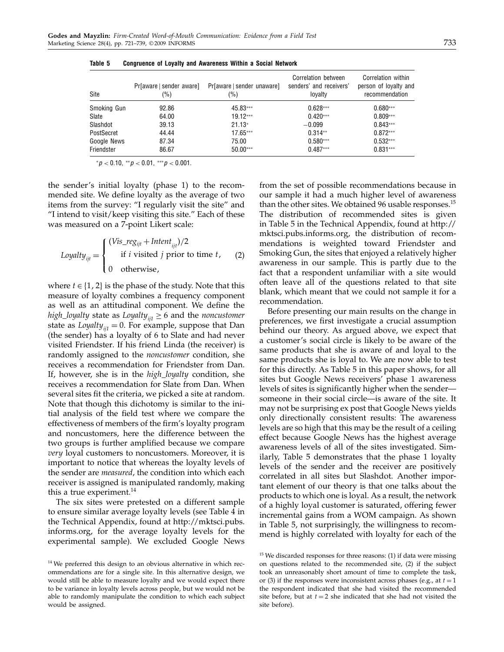| Site        | Pr[aware   sender aware]<br>(%) | Pr[aware   sender unaware]<br>(%) | Correlation between<br>senders' and receivers'<br>lovalty | Correlation within<br>person of loyalty and<br>recommendation |
|-------------|---------------------------------|-----------------------------------|-----------------------------------------------------------|---------------------------------------------------------------|
| Smoking Gun | 92.86                           | 45.83***                          | $0.628***$                                                | $0.680***$                                                    |
| Slate       | 64.00                           | $19.12***$                        | $0.420***$                                                | $0.809***$                                                    |
| Slashdot    | 39.13                           | $21.13*$                          | $-0.099$                                                  | $0.843***$                                                    |
| PostSecret  | 44.44                           | $17.65***$                        | $0.314**$                                                 | $0.872***$                                                    |
| Google News | 87.34                           | 75.00                             | $0.580***$                                                | $0.532***$                                                    |
| Friendster  | 86.67                           | $50.00***$                        | $0.487***$                                                | $0.831***$                                                    |

Table 5 Congruence of Loyalty and Awareness Within a Social Network

 ${}^*p < 0.10, \; {}^{**}p < 0.01, \; {}^{***}p < 0.001.$ 

the sender's initial loyalty (phase 1) to the recommended site. We define loyalty as the average of two items from the survey: "I regularly visit the site" and "I intend to visit/keep visiting this site." Each of these was measured on a 7-point Likert scale:

$$
Logality_{ijt} = \begin{cases} (Vis\_reg_{ijt} + Intent_{ijt})/2 \\ \text{if } i \text{ visited } j \text{ prior to time } t, \\ 0 \quad \text{otherwise,} \end{cases}
$$
 (2)

where  $t \in \{1, 2\}$  is the phase of the study. Note that this measure of loyalty combines a frequency component as well as an attitudinal component. We define the *high\_loyalty* state as *Loyalty*<sub>ii1</sub>  $\geq$  6 and the noncustomer state as Loyalty<sub>ii1</sub> = 0. For example, suppose that Dan (the sender) has a loyalty of 6 to Slate and had never visited Friendster. If his friend Linda (the receiver) is randomly assigned to the noncustomer condition, she receives a recommendation for Friendster from Dan. If, however, she is in the high\_loyalty condition, she receives a recommendation for Slate from Dan. When several sites fit the criteria, we picked a site at random. Note that though this dichotomy is similar to the initial analysis of the field test where we compare the effectiveness of members of the firm's loyalty program and noncustomers, here the difference between the two groups is further amplified because we compare very loyal customers to noncustomers. Moreover, it is important to notice that whereas the loyalty levels of the sender are measured, the condition into which each receiver is assigned is manipulated randomly, making this a true experiment.<sup>14</sup>

The six sites were pretested on a different sample to ensure similar average loyalty levels (see Table 4 in the Technical Appendix, found at http://mktsci.pubs. informs.org, for the average loyalty levels for the experimental sample). We excluded Google News

from the set of possible recommendations because in our sample it had a much higher level of awareness than the other sites. We obtained 96 usable responses.<sup>15</sup> The distribution of recommended sites is given in Table 5 in the Technical Appendix, found at http:// mktsci.pubs.informs.org, the distribution of recommendations is weighted toward Friendster and Smoking Gun, the sites that enjoyed a relatively higher awareness in our sample. This is partly due to the fact that a respondent unfamiliar with a site would often leave all of the questions related to that site blank, which meant that we could not sample it for a recommendation.

Before presenting our main results on the change in preferences, we first investigate a crucial assumption behind our theory. As argued above, we expect that a customer's social circle is likely to be aware of the same products that she is aware of and loyal to the same products she is loyal to. We are now able to test for this directly. As Table 5 in this paper shows, for all sites but Google News receivers' phase 1 awareness levels of sites is significantly higher when the sender someone in their social circle—is aware of the site. It may not be surprising ex post that Google News yields only directionally consistent results: The awareness levels are so high that this may be the result of a ceiling effect because Google News has the highest average awareness levels of all of the sites investigated. Similarly, Table 5 demonstrates that the phase 1 loyalty levels of the sender and the receiver are positively correlated in all sites but Slashdot. Another important element of our theory is that one talks about the products to which one is loyal. As a result, the network of a highly loyal customer is saturated, offering fewer incremental gains from a WOM campaign. As shown in Table 5, not surprisingly, the willingness to recommend is highly correlated with loyalty for each of the

<sup>&</sup>lt;sup>14</sup> We preferred this design to an obvious alternative in which recommendations are for a single site. In this alternative design, we would still be able to measure loyalty and we would expect there to be variance in loyalty levels across people, but we would not be able to randomly manipulate the condition to which each subject would be assigned.

 $15$  We discarded responses for three reasons: (1) if data were missing on questions related to the recommended site, (2) if the subject took an unreasonably short amount of time to complete the task, or (3) if the responses were inconsistent across phases (e.g., at  $t = 1$ the respondent indicated that she had visited the recommended site before, but at  $t = 2$  she indicated that she had not visited the site before).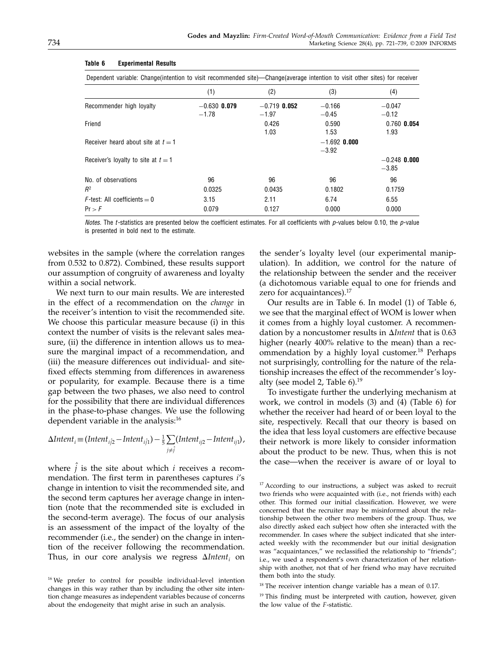| Dependent variable: Change(intention to visit recommended site)—Change(average intention to visit other sites) for receiver |                           |                           |                           |                           |  |  |  |
|-----------------------------------------------------------------------------------------------------------------------------|---------------------------|---------------------------|---------------------------|---------------------------|--|--|--|
|                                                                                                                             | (1)                       | (2)                       | (3)                       | (4)                       |  |  |  |
| Recommender high loyalty                                                                                                    | $-0.630$ 0.079<br>$-1.78$ | $-0.719$ 0.052<br>$-1.97$ | $-0.166$<br>$-0.45$       | $-0.047$<br>$-0.12$       |  |  |  |
| Friend                                                                                                                      |                           | 0.426<br>1.03             | 0.590<br>1.53             | $0.760$ 0.054<br>1.93     |  |  |  |
| Receiver heard about site at $t = 1$                                                                                        |                           |                           | $-1.692$ 0.000<br>$-3.92$ |                           |  |  |  |
| Receiver's loyalty to site at $t = 1$                                                                                       |                           |                           |                           | $-0.248$ 0.000<br>$-3.85$ |  |  |  |
| No. of observations                                                                                                         | 96                        | 96                        | 96                        | 96                        |  |  |  |
| $R^2$                                                                                                                       | 0.0325                    | 0.0435                    | 0.1802                    | 0.1759                    |  |  |  |
| $F$ -test: All coefficients = 0                                                                                             | 3.15                      | 2.11                      | 6.74                      | 6.55                      |  |  |  |
| Pr > F                                                                                                                      | 0.079                     | 0.127                     | 0.000                     | 0.000                     |  |  |  |

#### Table 6 Experimental Results

Notes. The t-statistics are presented below the coefficient estimates. For all coefficients with  $p$ -values below 0.10, the  $p$ -value is presented in bold next to the estimate.

websites in the sample (where the correlation ranges from 0.532 to 0.872). Combined, these results support our assumption of congruity of awareness and loyalty within a social network.

We next turn to our main results. We are interested in the effect of a recommendation on the change in the receiver's intention to visit the recommended site. We choose this particular measure because (i) in this context the number of visits is the relevant sales measure, (ii) the difference in intention allows us to measure the marginal impact of a recommendation, and (iii) the measure differences out individual- and sitefixed effects stemming from differences in awareness or popularity, for example. Because there is a time gap between the two phases, we also need to control for the possibility that there are individual differences in the phase-to-phase changes. We use the following dependent variable in the analysis:<sup>16</sup>

$$
\Delta Intent_i \equiv (Intent_{i\hat{j}2} - Intent_{i\hat{j}1}) - \frac{1}{5} \sum_{j \neq \hat{j}} (Intent_{ij2} - Intent_{ij1}),
$$

where  $\hat{j}$  is the site about which i receives a recommendation. The first term in parentheses captures i's change in intention to visit the recommended site, and the second term captures her average change in intention (note that the recommended site is excluded in the second-term average). The focus of our analysis is an assessment of the impact of the loyalty of the recommender (i.e., the sender) on the change in intention of the receiver following the recommendation. Thus, in our core analysis we regress  $\Delta Intent_i$  on

the sender's loyalty level (our experimental manipulation). In addition, we control for the nature of the relationship between the sender and the receiver (a dichotomous variable equal to one for friends and zero for acquaintances).<sup>17</sup>

Our results are in Table 6. In model (1) of Table 6, we see that the marginal effect of WOM is lower when it comes from a highly loyal customer. A recommendation by a noncustomer results in  $\Delta Intent$  that is 0.63 higher (nearly 400% relative to the mean) than a recommendation by a highly loyal customer.<sup>18</sup> Perhaps not surprisingly, controlling for the nature of the relationship increases the effect of the recommender's loyalty (see model 2, Table 6).<sup>19</sup>

To investigate further the underlying mechanism at work, we control in models (3) and (4) (Table 6) for whether the receiver had heard of or been loyal to the site, respectively. Recall that our theory is based on the idea that less loyal customers are effective because their network is more likely to consider information about the product to be new. Thus, when this is not the case—when the receiver is aware of or loyal to

<sup>&</sup>lt;sup>16</sup> We prefer to control for possible individual-level intention changes in this way rather than by including the other site intention change measures as independent variables because of concerns about the endogeneity that might arise in such an analysis.

 $17$  According to our instructions, a subject was asked to recruit two friends who were acquainted with (i.e., not friends with) each other. This formed our initial classification. However, we were concerned that the recruiter may be misinformed about the relationship between the other two members of the group. Thus, we also directly asked each subject how often she interacted with the recommender. In cases where the subject indicated that she interacted weekly with the recommender but our initial designation was "acquaintances," we reclassified the relationship to "friends"; i.e., we used a respondent's own characterization of her relationship with another, not that of her friend who may have recruited them both into the study.

<sup>18</sup> The receiver intention change variable has a mean of 0.17.

<sup>&</sup>lt;sup>19</sup> This finding must be interpreted with caution, however, given the low value of the F-statistic.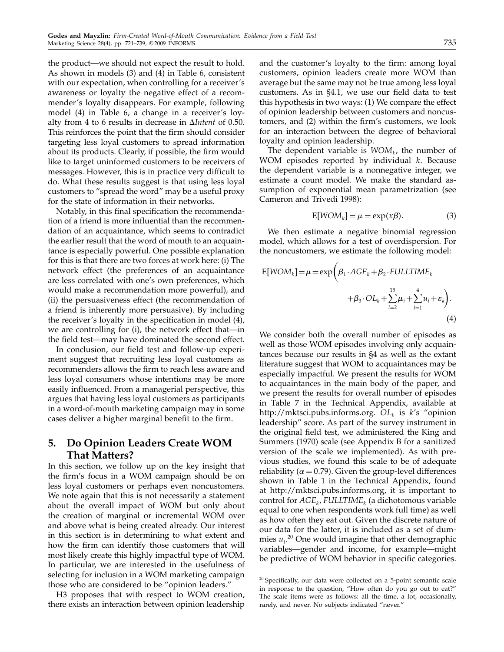the product—we should not expect the result to hold. As shown in models (3) and (4) in Table 6, consistent with our expectation, when controlling for a receiver's awareness or loyalty the negative effect of a recommender's loyalty disappears. For example, following model (4) in Table 6, a change in a receiver's loyalty from 4 to 6 results in decrease in  $\Delta Intent$  of 0.50. This reinforces the point that the firm should consider targeting less loyal customers to spread information about its products. Clearly, if possible, the firm would like to target uninformed customers to be receivers of messages. However, this is in practice very difficult to do. What these results suggest is that using less loyal customers to "spread the word" may be a useful proxy for the state of information in their networks.

Notably, in this final specification the recommendation of a friend is more influential than the recommendation of an acquaintance, which seems to contradict the earlier result that the word of mouth to an acquaintance is especially powerful. One possible explanation for this is that there are two forces at work here: (i) The network effect (the preferences of an acquaintance are less correlated with one's own preferences, which would make a recommendation more powerful), and (ii) the persuasiveness effect (the recommendation of a friend is inherently more persuasive). By including the receiver's loyalty in the specification in model (4), we are controlling for (i), the network effect that—in the field test—may have dominated the second effect.

In conclusion, our field test and follow-up experiment suggest that recruiting less loyal customers as recommenders allows the firm to reach less aware and less loyal consumers whose intentions may be more easily influenced. From a managerial perspective, this argues that having less loyal customers as participants in a word-of-mouth marketing campaign may in some cases deliver a higher marginal benefit to the firm.

# 5. Do Opinion Leaders Create WOM That Matters?

In this section, we follow up on the key insight that the firm's focus in a WOM campaign should be on less loyal customers or perhaps even noncustomers. We note again that this is not necessarily a statement about the overall impact of WOM but only about the creation of marginal or incremental WOM over and above what is being created already. Our interest in this section is in determining to what extent and how the firm can identify those customers that will most likely create this highly impactful type of WOM. In particular, we are interested in the usefulness of selecting for inclusion in a WOM marketing campaign those who are considered to be "opinion leaders."

H3 proposes that with respect to WOM creation, there exists an interaction between opinion leadership and the customer's loyalty to the firm: among loyal customers, opinion leaders create more WOM than average but the same may not be true among less loyal customers. As in §4.1, we use our field data to test this hypothesis in two ways: (1) We compare the effect of opinion leadership between customers and noncustomers, and (2) within the firm's customers, we look for an interaction between the degree of behavioral loyalty and opinion leadership.

The dependent variable is  $WOM_k$ , the number of WOM episodes reported by individual  $k$ . Because the dependent variable is a nonnegative integer, we estimate a count model. We make the standard assumption of exponential mean parametrization (see Cameron and Trivedi 1998):

$$
E[WOM_k] = \mu = \exp(x\beta).
$$
 (3)

We then estimate a negative binomial regression model, which allows for a test of overdispersion. For the noncustomers, we estimate the following model:

$$
E[WOM_k] = \mu = \exp\left(\beta_1 \cdot AGE_k + \beta_2 \cdot \text{FULLTIME}_k + \beta_3 \cdot OL_k + \sum_{i=2}^{15} \mu_i + \sum_{l=1}^{4} u_l + \varepsilon_k\right).
$$
\n(4)

We consider both the overall number of episodes as well as those WOM episodes involving only acquaintances because our results in §4 as well as the extant literature suggest that WOM to acquaintances may be especially impactful. We present the results for WOM to acquaintances in the main body of the paper, and we present the results for overall number of episodes in Table 7 in the Technical Appendix, available at http://mktsci.pubs.informs.org.  $OL_k$  is k's "opinion leadership" score. As part of the survey instrument in the original field test, we administered the King and Summers (1970) scale (see Appendix B for a sanitized version of the scale we implemented). As with previous studies, we found this scale to be of adequate reliability ( $\alpha = 0.79$ ). Given the group-level differences shown in Table 1 in the Technical Appendix, found at http://mktsci.pubs.informs.org, it is important to control for  $AGE_k$ , FULLTIME<sub>k</sub> (a dichotomous variable equal to one when respondents work full time) as well as how often they eat out. Given the discrete nature of our data for the latter, it is included as a set of dummies  $u_l$ <sup>20</sup> One would imagine that other demographic variables—gender and income, for example—might be predictive of WOM behavior in specific categories.

 $20$  Specifically, our data were collected on a 5-point semantic scale in response to the question, "How often do you go out to eat?" The scale items were as follows: all the time, a lot, occasionally, rarely, and never. No subjects indicated "never."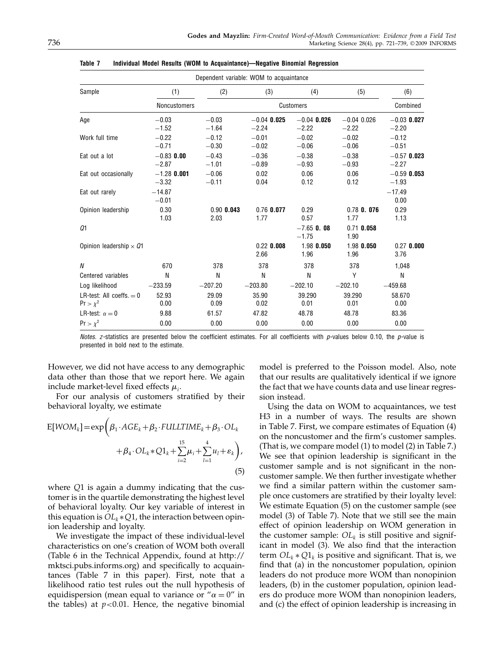| Dependent variable: WOM to acquaintance     |                          |                      |                          |                          |                          |                          |  |
|---------------------------------------------|--------------------------|----------------------|--------------------------|--------------------------|--------------------------|--------------------------|--|
| Sample                                      | (1)                      | (2)                  | (3)                      | (4)                      | (5)                      | (6)                      |  |
|                                             | <b>Noncustomers</b>      |                      | Customers                |                          |                          |                          |  |
| Age                                         | $-0.03$<br>$-1.52$       | $-0.03$<br>$-1.64$   | $-0.04$ 0.025<br>$-2.24$ | $-0.04$ 0.026<br>$-2.22$ | $-0.04$ 0.026<br>$-2.22$ | $-0.03$ 0.027<br>$-2.20$ |  |
| Work full time                              | $-0.22$<br>$-0.71$       | $-0.12$<br>$-0.30$   | $-0.01$<br>$-0.02$       | $-0.02$<br>$-0.06$       | $-0.02$<br>$-0.06$       | $-0.12$<br>$-0.51$       |  |
| Eat out a lot                               | $-0.83$ 0.00<br>$-2.87$  | $-0.43$<br>$-1.01$   | $-0.36$<br>$-0.89$       | $-0.38$<br>$-0.93$       | $-0.38$<br>$-0.93$       | $-0.57$ 0.023<br>$-2.27$ |  |
| Eat out occasionally                        | $-1.28$ 0.001<br>$-3.32$ | $-0.06$<br>$-0.11$   | 0.02<br>0.04             | 0.06<br>0.12             | 0.06<br>0.12             | $-0.59$ 0.053<br>$-1.93$ |  |
| Eat out rarely                              | $-14.87$<br>$-0.01$      |                      |                          |                          |                          | $-17.49$<br>0.00         |  |
| Opinion leadership                          | 0.30<br>1.03             | $0.90$ 0.043<br>2.03 | 0.76 0.077<br>1.77       | 0.29<br>0.57             | $0.78$ 0.076<br>1.77     | 0.29<br>1.13             |  |
| Q1                                          |                          |                      |                          | $-7.65$ 0.08<br>$-1.75$  | $0.71$ 0.058<br>1.90     |                          |  |
| Opinion leadership $\times$ Q1              |                          |                      | $0.22$ 0.008<br>2.66     | 1.98 0.050<br>1.96       | 1.98 0.050<br>1.96       | $0.27$ 0.000<br>3.76     |  |
| N                                           | 670                      | 378                  | 378                      | 378                      | 378                      | 1,048                    |  |
| Centered variables                          | N                        | N                    | N                        | N                        | Υ                        | N                        |  |
| Log likelihood                              | $-233.59$                | $-207.20$            | $-203.80$                | $-202.10$                | $-202.10$                | $-459.68$                |  |
| LR-test: All coeffs. $= 0$<br>$Pr > \chi^2$ | 52.93<br>0.00            | 29.09<br>0.09        | 35.90<br>0.02            | 39.290<br>0.01           | 39.290<br>0.01           | 58.670<br>0.00           |  |
| LR-test: $\alpha = 0$                       | 9.88                     | 61.57                | 47.82                    | 48.78                    | 48.78                    | 83.36                    |  |
| $Pr > \chi^2$                               | 0.00                     | 0.00                 | 0.00                     | 0.00                     | 0.00                     | 0.00                     |  |

Table 7 Individual Model Results (WOM to Acquaintance)—Negative Binomial Regression

Notes. z-statistics are presented below the coefficient estimates. For all coefficients with  $p$ -values below 0.10, the  $p$ -value is presented in bold next to the estimate.

However, we did not have access to any demographic data other than those that we report here. We again include market-level fixed effects  $\mu_i$ .

For our analysis of customers stratified by their behavioral loyalty, we estimate

$$
E[WOM_k] = \exp\left(\beta_1 \cdot AGE_k + \beta_2 \cdot \text{FULLTIME}_k + \beta_3 \cdot OL_k + \beta_4 \cdot OL_k * Q1_k + \sum_{i=2}^{15} \mu_i + \sum_{l=1}^{4} u_l + \varepsilon_k\right),\tag{5}
$$

where Q1 is again a dummy indicating that the customer is in the quartile demonstrating the highest level of behavioral loyalty. Our key variable of interest in this equation is  $OL_k * Q1$ , the interaction between opinion leadership and loyalty.

We investigate the impact of these individual-level characteristics on one's creation of WOM both overall (Table 6 in the Technical Appendix, found at http:// mktsci.pubs.informs.org) and specifically to acquaintances (Table 7 in this paper). First, note that a likelihood ratio test rules out the null hypothesis of equidispersion (mean equal to variance or " $\alpha = 0$ " in the tables) at  $p < 0.01$ . Hence, the negative binomial

model is preferred to the Poisson model. Also, note that our results are qualitatively identical if we ignore the fact that we have counts data and use linear regression instead.

Using the data on WOM to acquaintances, we test H3 in a number of ways. The results are shown in Table 7. First, we compare estimates of Equation (4) on the noncustomer and the firm's customer samples. (That is, we compare model (1) to model (2) in Table 7.) We see that opinion leadership is significant in the customer sample and is not significant in the noncustomer sample. We then further investigate whether we find a similar pattern within the customer sample once customers are stratified by their loyalty level: We estimate Equation (5) on the customer sample (see model (3) of Table 7). Note that we still see the main effect of opinion leadership on WOM generation in the customer sample:  $OL_k$  is still positive and significant in model (3). We also find that the interaction term  $OL_k * Q1_k$  is positive and significant. That is, we find that (a) in the noncustomer population, opinion leaders do not produce more WOM than nonopinion leaders, (b) in the customer population, opinion leaders do produce more WOM than nonopinion leaders, and (c) the effect of opinion leadership is increasing in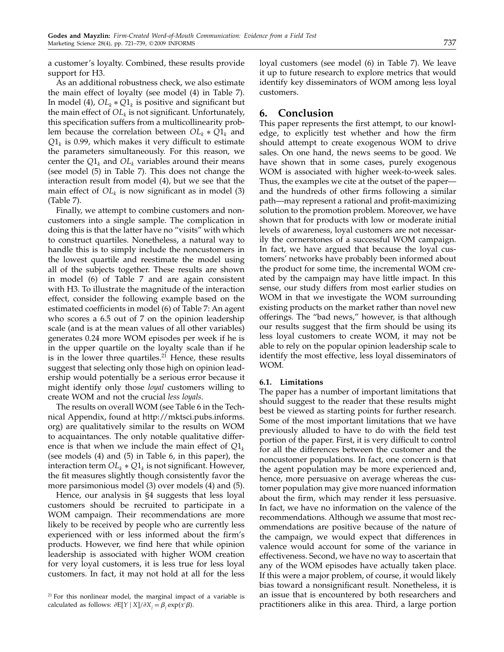a customer's loyalty. Combined, these results provide support for H3.

As an additional robustness check, we also estimate the main effect of loyalty (see model (4) in Table 7). In model (4),  $OL_k * Q1_k$  is positive and significant but the main effect of  $OL_k$  is not significant. Unfortunately, this specification suffers from a multicollinearity problem because the correlation between  $OL_k * Q1_k$  and  $Q1_k$  is 0.99, which makes it very difficult to estimate the parameters simultaneously. For this reason, we center the  $Q1_k$  and  $OL_k$  variables around their means (see model (5) in Table 7). This does not change the interaction result from model (4), but we see that the main effect of  $OL_k$  is now significant as in model (3) (Table 7).

Finally, we attempt to combine customers and noncustomers into a single sample. The complication in doing this is that the latter have no "visits" with which to construct quartiles. Nonetheless, a natural way to handle this is to simply include the noncustomers in the lowest quartile and reestimate the model using all of the subjects together. These results are shown in model (6) of Table 7 and are again consistent with H3. To illustrate the magnitude of the interaction effect, consider the following example based on the estimated coefficients in model (6) of Table 7: An agent who scores a 6.5 out of 7 on the opinion leadership scale (and is at the mean values of all other variables) generates 0.24 more WOM episodes per week if he is in the upper quartile on the loyalty scale than if he is in the lower three quartiles. $21$  Hence, these results suggest that selecting only those high on opinion leadership would potentially be a serious error because it might identify only those loyal customers willing to create WOM and not the crucial less loyals.

The results on overall WOM (see Table 6 in the Technical Appendix, found at http://mktsci.pubs.informs. org) are qualitatively similar to the results on WOM to acquaintances. The only notable qualitative difference is that when we include the main effect of  $Q1_k$ (see models (4) and (5) in Table 6, in this paper), the interaction term  $OL_k * Q1_k$  is not significant. However, the fit measures slightly though consistently favor the more parsimonious model (3) over models (4) and (5).

Hence, our analysis in §4 suggests that less loyal customers should be recruited to participate in a WOM campaign. Their recommendations are more likely to be received by people who are currently less experienced with or less informed about the firm's products. However, we find here that while opinion leadership is associated with higher WOM creation for very loyal customers, it is less true for less loyal customers. In fact, it may not hold at all for the less

loyal customers (see model (6) in Table 7). We leave it up to future research to explore metrics that would identify key disseminators of WOM among less loyal customers.

# 6. Conclusion

This paper represents the first attempt, to our knowledge, to explicitly test whether and how the firm should attempt to create exogenous WOM to drive sales. On one hand, the news seems to be good. We have shown that in some cases, purely exogenous WOM is associated with higher week-to-week sales. Thus, the examples we cite at the outset of the paper and the hundreds of other firms following a similar path—may represent a rational and profit-maximizing solution to the promotion problem. Moreover, we have shown that for products with low or moderate initial levels of awareness, loyal customers are not necessarily the cornerstones of a successful WOM campaign. In fact, we have argued that because the loyal customers' networks have probably been informed about the product for some time, the incremental WOM created by the campaign may have little impact. In this sense, our study differs from most earlier studies on WOM in that we investigate the WOM surrounding existing products on the market rather than novel new offerings. The "bad news," however, is that although our results suggest that the firm should be using its less loyal customers to create WOM, it may not be able to rely on the popular opinion leadership scale to identify the most effective, less loyal disseminators of WOM.

## 6.1. Limitations

The paper has a number of important limitations that should suggest to the reader that these results might best be viewed as starting points for further research. Some of the most important limitations that we have previously alluded to have to do with the field test portion of the paper. First, it is very difficult to control for all the differences between the customer and the noncustomer populations. In fact, one concern is that the agent population may be more experienced and, hence, more persuasive on average whereas the customer population may give more nuanced information about the firm, which may render it less persuasive. In fact, we have no information on the valence of the recommendations. Although we assume that most recommendations are positive because of the nature of the campaign, we would expect that differences in valence would account for some of the variance in effectiveness. Second, we have no way to ascertain that any of the WOM episodes have actually taken place. If this were a major problem, of course, it would likely bias toward a nonsignificant result. Nonetheless, it is an issue that is encountered by both researchers and practitioners alike in this area. Third, a large portion

 $21$  For this nonlinear model, the marginal impact of a variable is calculated as follows:  $\partial E[Y | X]/\partial X_j = \beta_j \exp(x'\beta)$ .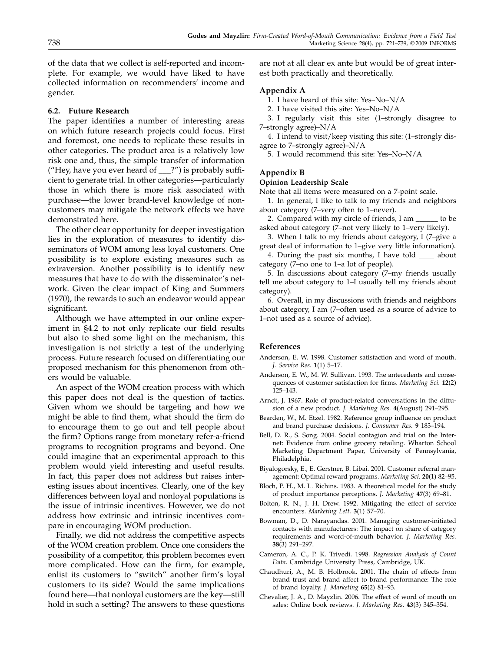of the data that we collect is self-reported and incomplete. For example, we would have liked to have collected information on recommenders' income and gender.

## 6.2. Future Research

The paper identifies a number of interesting areas on which future research projects could focus. First and foremost, one needs to replicate these results in other categories. The product area is a relatively low risk one and, thus, the simple transfer of information ("Hey, have you ever heard of \_\_\_?") is probably sufficient to generate trial. In other categories—particularly those in which there is more risk associated with purchase—the lower brand-level knowledge of noncustomers may mitigate the network effects we have demonstrated here.

The other clear opportunity for deeper investigation lies in the exploration of measures to identify disseminators of WOM among less loyal customers. One possibility is to explore existing measures such as extraversion. Another possibility is to identify new measures that have to do with the disseminator's network. Given the clear impact of King and Summers (1970), the rewards to such an endeavor would appear significant.

Although we have attempted in our online experiment in §4.2 to not only replicate our field results but also to shed some light on the mechanism, this investigation is not strictly a test of the underlying process. Future research focused on differentiating our proposed mechanism for this phenomenon from others would be valuable.

An aspect of the WOM creation process with which this paper does not deal is the question of tactics. Given whom we should be targeting and how we might be able to find them, what should the firm do to encourage them to go out and tell people about the firm? Options range from monetary refer-a-friend programs to recognition programs and beyond. One could imagine that an experimental approach to this problem would yield interesting and useful results. In fact, this paper does not address but raises interesting issues about incentives. Clearly, one of the key differences between loyal and nonloyal populations is the issue of intrinsic incentives. However, we do not address how extrinsic and intrinsic incentives compare in encouraging WOM production.

Finally, we did not address the competitive aspects of the WOM creation problem. Once one considers the possibility of a competitor, this problem becomes even more complicated. How can the firm, for example, enlist its customers to "switch" another firm's loyal customers to its side? Would the same implications found here—that nonloyal customers are the key—still hold in such a setting? The answers to these questions

are not at all clear ex ante but would be of great interest both practically and theoretically.

#### AppendixA

1. I have heard of this site: Yes–No–N/A

2. I have visited this site: Yes–No–N/A

3. I regularly visit this site: (1–strongly disagree to 7–strongly agree)–N/A

4. I intend to visit/keep visiting this site: (1–strongly disagree to 7–strongly agree)–N/A

5. I would recommend this site: Yes–No–N/A

#### AppendixB

#### Opinion Leadership Scale

Note that all items were measured on a 7-point scale.

1. In general, I like to talk to my friends and neighbors about category (7–very often to 1–never).

2. Compared with my circle of friends, I am \_\_\_\_\_\_ to be asked about category (7–not very likely to 1–very likely).

3. When I talk to my friends about category, I (7–give a great deal of information to 1–give very little information).

4. During the past six months, I have told \_\_\_\_ about category (7–no one to 1–a lot of people).

5. In discussions about category (7–my friends usually tell me about category to 1–I usually tell my friends about category).

6. Overall, in my discussions with friends and neighbors about category, I am (7–often used as a source of advice to 1–not used as a source of advice).

#### References

- Anderson, E. W. 1998. Customer satisfaction and word of mouth. J. Service Res. 1(1) 5–17.
- Anderson, E. W., M. W. Sullivan. 1993. The antecedents and consequences of customer satisfaction for firms. Marketing Sci. 12(2) 125–143.
- Arndt, J. 1967. Role of product-related conversations in the diffusion of a new product. J. Marketing Res. 4(August) 291–295.
- Bearden, W., M. Etzel. 1982. Reference group influence on product and brand purchase decisions. J. Consumer Res. 9 183–194.
- Bell, D. R., S. Song. 2004. Social contagion and trial on the Internet: Evidence from online grocery retailing. Wharton School Marketing Department Paper, University of Pennsylvania, Philadelphia.
- Biyalogorsky, E., E. Gerstner, B. Libai. 2001. Customer referral management: Optimal reward programs. Marketing Sci. 20(1) 82–95.
- Bloch, P. H., M. L. Richins. 1983. A theoretical model for the study of product importance perceptions. J. Marketing 47(3) 69–81.
- Bolton, R. N., J. H. Drew. 1992. Mitigating the effect of service encounters. Marketing Lett. 3(1) 57–70.
- Bowman, D., D. Narayandas. 2001. Managing customer-initiated contacts with manufacturers: The impact on share of category requirements and word-of-mouth behavior. J. Marketing Res. 38(3) 291–297.
- Cameron, A. C., P. K. Trivedi. 1998. Regression Analysis of Count Data. Cambridge University Press, Cambridge, UK.
- Chaudhuri, A., M. B. Holbrook. 2001. The chain of effects from brand trust and brand affect to brand performance: The role of brand loyalty. J. Marketing 65(2) 81–93.
- Chevalier, J. A., D. Mayzlin. 2006. The effect of word of mouth on sales: Online book reviews. J. Marketing Res. 43(3) 345–354.